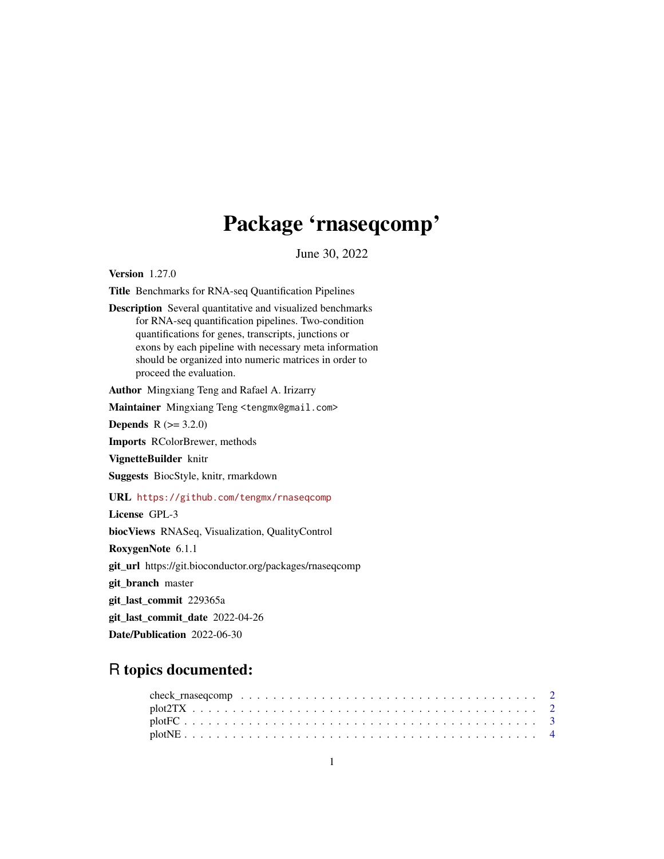# Package 'rnaseqcomp'

June 30, 2022

Version 1.27.0

Title Benchmarks for RNA-seq Quantification Pipelines

Description Several quantitative and visualized benchmarks for RNA-seq quantification pipelines. Two-condition quantifications for genes, transcripts, junctions or exons by each pipeline with necessary meta information should be organized into numeric matrices in order to proceed the evaluation.

Author Mingxiang Teng and Rafael A. Irizarry

Maintainer Mingxiang Teng <tengmx@gmail.com>

**Depends** R  $(>= 3.2.0)$ 

Imports RColorBrewer, methods

VignetteBuilder knitr

Suggests BiocStyle, knitr, rmarkdown

URL <https://github.com/tengmx/rnaseqcomp>

License GPL-3

biocViews RNASeq, Visualization, QualityControl

RoxygenNote 6.1.1

git\_url https://git.bioconductor.org/packages/rnaseqcomp

git\_branch master

git\_last\_commit 229365a

git\_last\_commit\_date 2022-04-26

Date/Publication 2022-06-30

## R topics documented: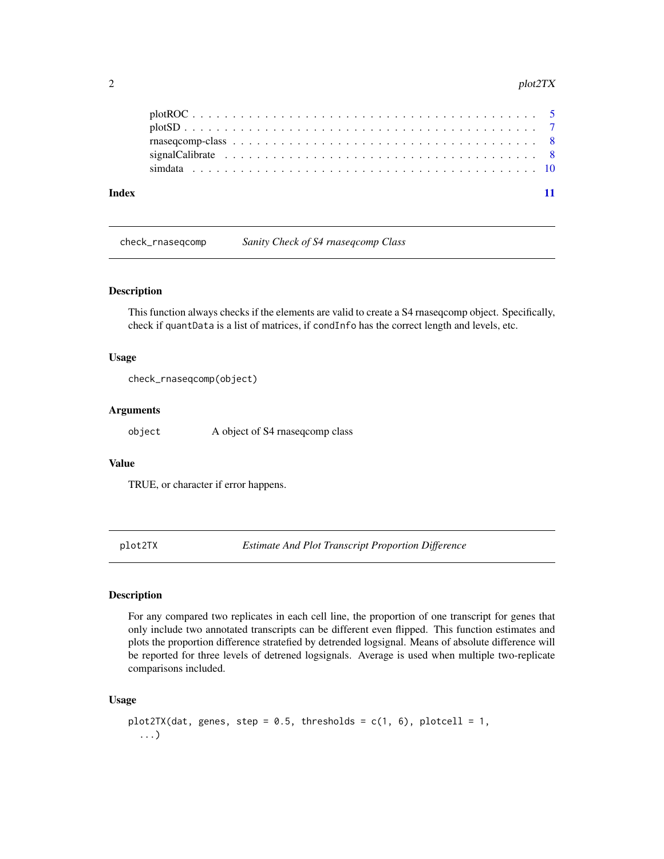#### <span id="page-1-0"></span>2 plot $2T X$

| Index |                                                                                                                                |  |
|-------|--------------------------------------------------------------------------------------------------------------------------------|--|
|       |                                                                                                                                |  |
|       | $\text{rnaseqcomp-class } \dots \dots \dots \dots \dots \dots \dots \dots \dots \dots \dots \dots \dots \dots \dots \dots \ 8$ |  |
|       |                                                                                                                                |  |
|       |                                                                                                                                |  |

check\_rnaseqcomp *Sanity Check of S4 rnaseqcomp Class*

#### Description

This function always checks if the elements are valid to create a S4 rnaseqcomp object. Specifically, check if quantData is a list of matrices, if condInfo has the correct length and levels, etc.

#### Usage

check\_rnaseqcomp(object)

#### Arguments

object A object of S4 rnaseqcomp class

#### Value

TRUE, or character if error happens.

plot2TX *Estimate And Plot Transcript Proportion Difference*

#### Description

For any compared two replicates in each cell line, the proportion of one transcript for genes that only include two annotated transcripts can be different even flipped. This function estimates and plots the proportion difference stratefied by detrended logsignal. Means of absolute difference will be reported for three levels of detrened logsignals. Average is used when multiple two-replicate comparisons included.

#### Usage

```
plot2TX(dat, genes, step = 0.5, thresholds = c(1, 6), plotcell = 1,
  ...)
```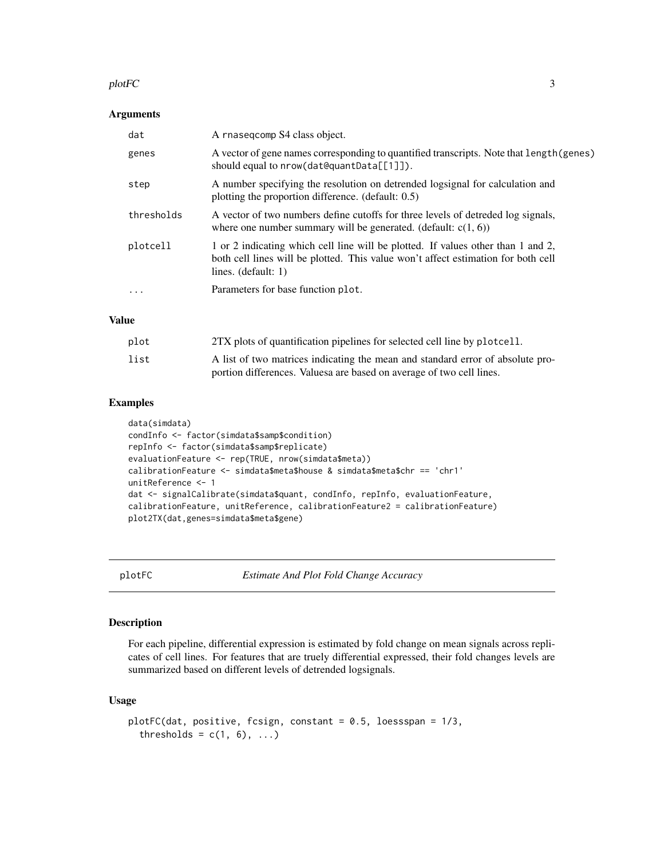#### <span id="page-2-0"></span>plotFC 3

#### Arguments

| dat        | A rnasegcomp S4 class object.                                                                                                                                                                  |
|------------|------------------------------------------------------------------------------------------------------------------------------------------------------------------------------------------------|
| genes      | A vector of gene names corresponding to quantified transcripts. Note that length (genes)<br>should equal to $nrow(dataQuantData[1]]$ .                                                         |
| step       | A number specifying the resolution on detrended logsignal for calculation and<br>plotting the proportion difference. (default: 0.5)                                                            |
| thresholds | A vector of two numbers define cutoffs for three levels of detreded log signals,<br>where one number summary will be generated. (default: $c(1, 6)$ )                                          |
| plotcell   | 1 or 2 indicating which cell line will be plotted. If values other than 1 and 2,<br>both cell lines will be plotted. This value won't affect estimation for both cell<br>lines. $(detault: 1)$ |
| $\ddotsc$  | Parameters for base function plot.                                                                                                                                                             |

#### Value

| plot | 2TX plots of quantification pipelines for selected cell line by plotcell.                                                                             |
|------|-------------------------------------------------------------------------------------------------------------------------------------------------------|
| list | A list of two matrices indicating the mean and standard error of absolute pro-<br>portion differences. Values are based on average of two cell lines. |

#### Examples

```
data(simdata)
condInfo <- factor(simdata$samp$condition)
repInfo <- factor(simdata$samp$replicate)
evaluationFeature <- rep(TRUE, nrow(simdata$meta))
calibrationFeature <- simdata$meta$house & simdata$meta$chr == 'chr1'
unitReference <- 1
dat <- signalCalibrate(simdata$quant, condInfo, repInfo, evaluationFeature,
calibrationFeature, unitReference, calibrationFeature2 = calibrationFeature)
plot2TX(dat,genes=simdata$meta$gene)
```
plotFC *Estimate And Plot Fold Change Accuracy*

#### Description

For each pipeline, differential expression is estimated by fold change on mean signals across replicates of cell lines. For features that are truely differential expressed, their fold changes levels are summarized based on different levels of detrended logsignals.

#### Usage

```
plotFC(dat, positive, fcsign, constant = 0.5, loessspan = 1/3,
  thresholds = c(1, 6), ...
```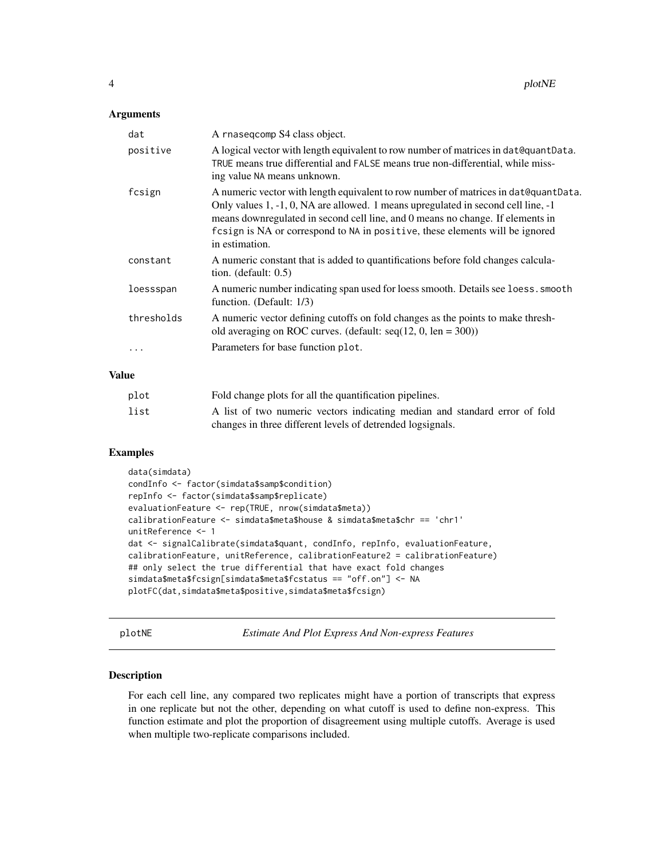#### <span id="page-3-0"></span>**Arguments**

| dat        | A rnasegcomp S4 class object.                                                                                                                                                                                                                                                                                                                                |
|------------|--------------------------------------------------------------------------------------------------------------------------------------------------------------------------------------------------------------------------------------------------------------------------------------------------------------------------------------------------------------|
| positive   | A logical vector with length equivalent to row number of matrices in dat@quantData.<br>TRUE means true differential and FALSE means true non-differential, while miss-<br>ing value NA means unknown.                                                                                                                                                        |
| fcsign     | A numeric vector with length equivalent to row number of matrices in dat@quantData.<br>Only values 1, -1, 0, NA are allowed. 1 means upregulated in second cell line, -1<br>means downregulated in second cell line, and 0 means no change. If elements in<br>fcsign is NA or correspond to NA in positive, these elements will be ignored<br>in estimation. |
| constant   | A numeric constant that is added to quantifications before fold changes calcula-<br>tion. (default: $0.5$ )                                                                                                                                                                                                                                                  |
| loessspan  | A numeric number indicating span used for loess smooth. Details see loess. smooth<br>function. (Default: 1/3)                                                                                                                                                                                                                                                |
| thresholds | A numeric vector defining cutoffs on fold changes as the points to make thresh-<br>old averaging on ROC curves. (default: $seq(12, 0, len = 300)$ )                                                                                                                                                                                                          |
| $\cdots$   | Parameters for base function plot.                                                                                                                                                                                                                                                                                                                           |

#### Value

| plot | Fold change plots for all the quantification pipelines.                    |
|------|----------------------------------------------------------------------------|
| list | A list of two numeric vectors indicating median and standard error of fold |
|      | changes in three different levels of detrended logsignals.                 |

#### Examples

```
data(simdata)
condInfo <- factor(simdata$samp$condition)
repInfo <- factor(simdata$samp$replicate)
evaluationFeature <- rep(TRUE, nrow(simdata$meta))
calibrationFeature <- simdata$meta$house & simdata$meta$chr == 'chr1'
unitReference <- 1
dat <- signalCalibrate(simdata$quant, condInfo, repInfo, evaluationFeature,
calibrationFeature, unitReference, calibrationFeature2 = calibrationFeature)
## only select the true differential that have exact fold changes
simdata$meta$fcsign[simdata$meta$fcstatus == "off.on"] <- NA
plotFC(dat,simdata$meta$positive,simdata$meta$fcsign)
```
plotNE *Estimate And Plot Express And Non-express Features*

### Description

For each cell line, any compared two replicates might have a portion of transcripts that express in one replicate but not the other, depending on what cutoff is used to define non-express. This function estimate and plot the proportion of disagreement using multiple cutoffs. Average is used when multiple two-replicate comparisons included.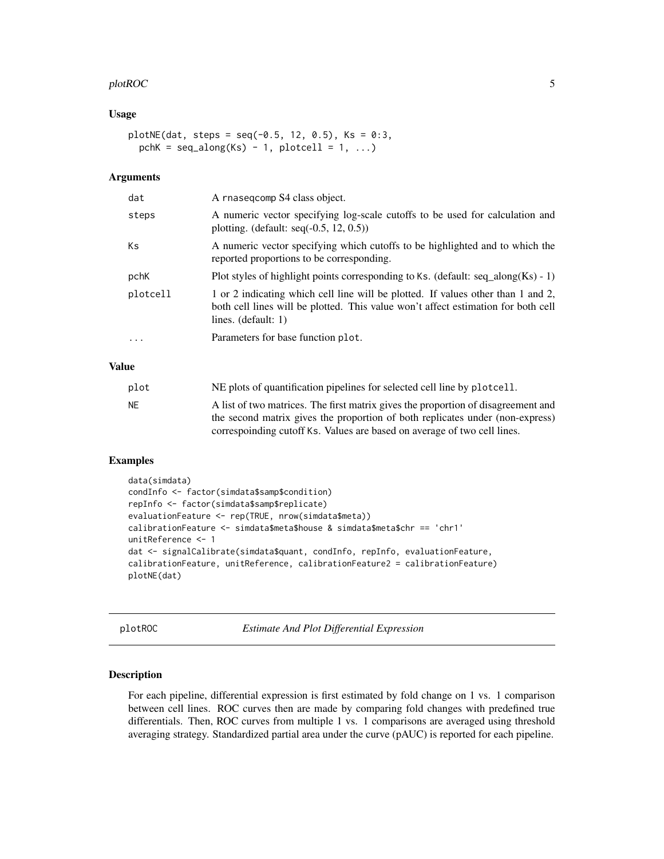#### <span id="page-4-0"></span>plotROC 5

#### Usage

```
plotNE(data, steps = seq(-0.5, 12, 0.5), Ks = 0:3,pchK = seq\_along(Ks) - 1, plotcell = 1, ...)
```
#### Arguments

| dat      | A rnasegcomp S4 class object.                                                                                                                                                                  |
|----------|------------------------------------------------------------------------------------------------------------------------------------------------------------------------------------------------|
| steps    | A numeric vector specifying log-scale cutoffs to be used for calculation and<br>plotting. (default: seq $(-0.5, 12, 0.5)$ )                                                                    |
| Ks       | A numeric vector specifying which cutoffs to be highlighted and to which the<br>reported proportions to be corresponding.                                                                      |
| pchK     | Plot styles of highlight points corresponding to Ks. (default: $seq\_along(Ks) - 1$ )                                                                                                          |
| plotcell | 1 or 2 indicating which cell line will be plotted. If values other than 1 and 2,<br>both cell lines will be plotted. This value won't affect estimation for both cell<br>lines. $(detault: 1)$ |
| $\cdot$  | Parameters for base function plot.                                                                                                                                                             |

#### Value

| plot | NE plots of quantification pipelines for selected cell line by plotcell.          |
|------|-----------------------------------------------------------------------------------|
| NF.  | A list of two matrices. The first matrix gives the proportion of disagreement and |
|      | the second matrix gives the proportion of both replicates under (non-express)     |
|      | correspointing cutoff Ks. Values are based on average of two cell lines.          |

#### Examples

```
data(simdata)
condInfo <- factor(simdata$samp$condition)
repInfo <- factor(simdata$samp$replicate)
evaluationFeature <- rep(TRUE, nrow(simdata$meta))
calibrationFeature <- simdata$meta$house & simdata$meta$chr == 'chr1'
unitReference <- 1
dat <- signalCalibrate(simdata$quant, condInfo, repInfo, evaluationFeature,
calibrationFeature, unitReference, calibrationFeature2 = calibrationFeature)
plotNE(dat)
```
plotROC *Estimate And Plot Differential Expression*

#### Description

For each pipeline, differential expression is first estimated by fold change on 1 vs. 1 comparison between cell lines. ROC curves then are made by comparing fold changes with predefined true differentials. Then, ROC curves from multiple 1 vs. 1 comparisons are averaged using threshold averaging strategy. Standardized partial area under the curve (pAUC) is reported for each pipeline.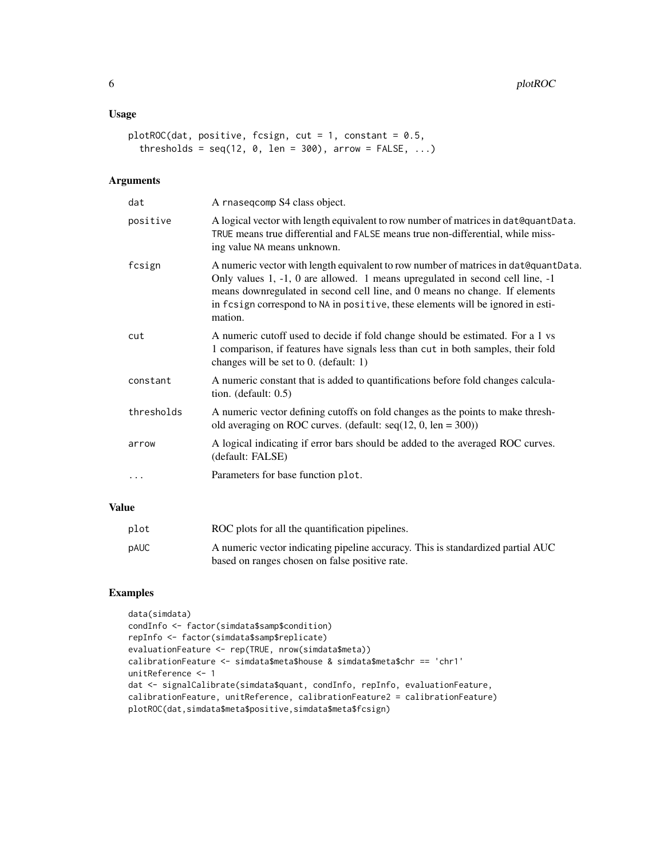#### Usage

```
plotROC(dat, positive, fcsign, cut = 1, constant = 0.5,
  thresholds = seq(12, 0, len = 300), arrow = FALSE, ...)
```
#### Arguments

| dat        | A rnasegcomp S4 class object.                                                                                                                                                                                                                                                                                                                     |
|------------|---------------------------------------------------------------------------------------------------------------------------------------------------------------------------------------------------------------------------------------------------------------------------------------------------------------------------------------------------|
| positive   | A logical vector with length equivalent to row number of matrices in dat@quantData.<br>TRUE means true differential and FALSE means true non-differential, while miss-<br>ing value NA means unknown.                                                                                                                                             |
| fcsign     | A numeric vector with length equivalent to row number of matrices in dat@quantData.<br>Only values 1, -1, 0 are allowed. 1 means upregulated in second cell line, -1<br>means downregulated in second cell line, and 0 means no change. If elements<br>in fcsign correspond to NA in positive, these elements will be ignored in esti-<br>mation. |
| cut        | A numeric cutoff used to decide if fold change should be estimated. For a 1 vs<br>1 comparison, if features have signals less than cut in both samples, their fold<br>changes will be set to $0.$ (default: 1)                                                                                                                                    |
| constant   | A numeric constant that is added to quantifications before fold changes calcula-<br>tion. (default: $0.5$ )                                                                                                                                                                                                                                       |
| thresholds | A numeric vector defining cutoffs on fold changes as the points to make thresh-<br>old averaging on ROC curves. (default: $seq(12, 0, len = 300)$ )                                                                                                                                                                                               |
| arrow      | A logical indicating if error bars should be added to the averaged ROC curves.<br>(default: FALSE)                                                                                                                                                                                                                                                |
| .          | Parameters for base function plot.                                                                                                                                                                                                                                                                                                                |

#### Value

| plot        | ROC plots for all the quantification pipelines.                                 |
|-------------|---------------------------------------------------------------------------------|
| <b>pAUC</b> | A numeric vector indicating pipeline accuracy. This is standardized partial AUC |
|             | based on ranges chosen on false positive rate.                                  |

#### Examples

```
data(simdata)
condInfo <- factor(simdata$samp$condition)
repInfo <- factor(simdata$samp$replicate)
evaluationFeature <- rep(TRUE, nrow(simdata$meta))
calibrationFeature <- simdata$meta$house & simdata$meta$chr == 'chr1'
unitReference <- 1
dat <- signalCalibrate(simdata$quant, condInfo, repInfo, evaluationFeature,
calibrationFeature, unitReference, calibrationFeature2 = calibrationFeature)
plotROC(dat,simdata$meta$positive,simdata$meta$fcsign)
```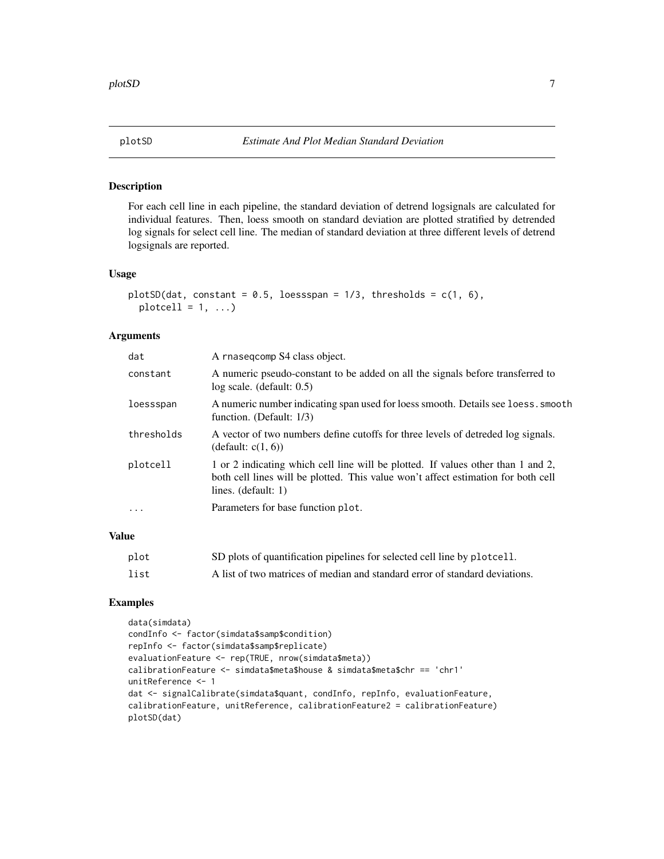<span id="page-6-0"></span>

#### Description

For each cell line in each pipeline, the standard deviation of detrend logsignals are calculated for individual features. Then, loess smooth on standard deviation are plotted stratified by detrended log signals for select cell line. The median of standard deviation at three different levels of detrend logsignals are reported.

#### Usage

```
plotSD(dat, constant = 0.5, loessspan = 1/3, thresholds = c(1, 6),
 plotcell = 1, ...)
```
#### Arguments

| dat        | A rnasegcomp S4 class object.                                                                                                                                                                  |
|------------|------------------------------------------------------------------------------------------------------------------------------------------------------------------------------------------------|
| constant   | A numeric pseudo-constant to be added on all the signals before transferred to<br>$log scale.$ (default: $0.5$ )                                                                               |
| loessspan  | A numeric number indicating span used for loess smooth. Details see loess. smooth<br>function. (Default: 1/3)                                                                                  |
| thresholds | A vector of two numbers define cutoffs for three levels of detreded log signals.<br>(default: $c(1, 6)$ )                                                                                      |
| plotcell   | 1 or 2 indicating which cell line will be plotted. If values other than 1 and 2,<br>both cell lines will be plotted. This value won't affect estimation for both cell<br>lines. $(detault: 1)$ |
| .          | Parameters for base function plot.                                                                                                                                                             |

## Value

| plot | SD plots of quantification pipelines for selected cell line by plotcell.    |
|------|-----------------------------------------------------------------------------|
| list | A list of two matrices of median and standard error of standard deviations. |

#### Examples

```
data(simdata)
condInfo <- factor(simdata$samp$condition)
repInfo <- factor(simdata$samp$replicate)
evaluationFeature <- rep(TRUE, nrow(simdata$meta))
calibrationFeature <- simdata$meta$house & simdata$meta$chr == 'chr1'
unitReference <- 1
dat <- signalCalibrate(simdata$quant, condInfo, repInfo, evaluationFeature,
calibrationFeature, unitReference, calibrationFeature2 = calibrationFeature)
plotSD(dat)
```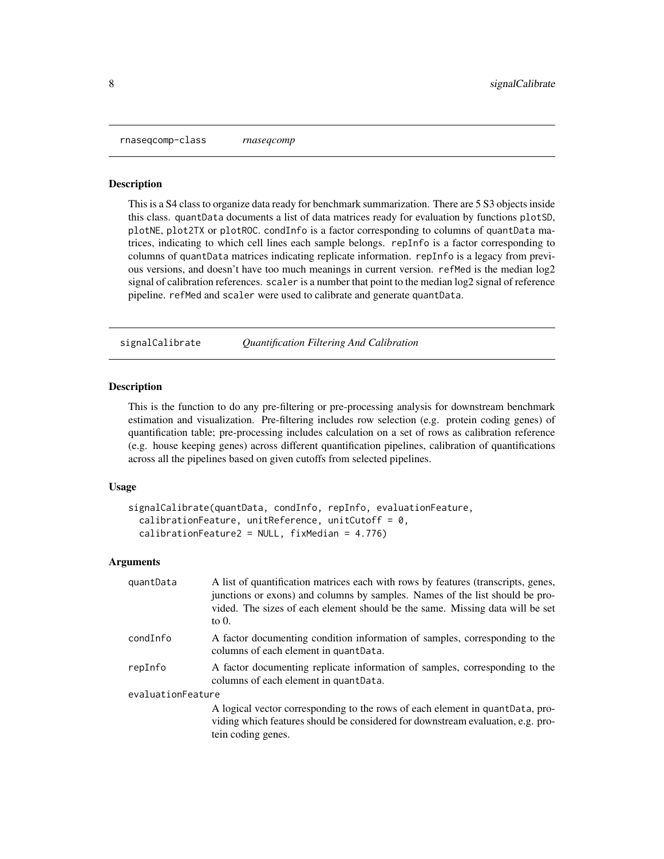<span id="page-7-0"></span>rnaseqcomp-class *rnaseqcomp*

#### Description

This is a S4 class to organize data ready for benchmark summarization. There are 5 S3 objects inside this class. quantData documents a list of data matrices ready for evaluation by functions plotSD, plotNE, plot2TX or plotROC. condInfo is a factor corresponding to columns of quantData matrices, indicating to which cell lines each sample belongs. repInfo is a factor corresponding to columns of quantData matrices indicating replicate information. repInfo is a legacy from previous versions, and doesn't have too much meanings in current version. refMed is the median log2 signal of calibration references. scaler is a number that point to the median log2 signal of reference pipeline. refMed and scaler were used to calibrate and generate quantData.

signalCalibrate *Quantification Filtering And Calibration*

#### Description

This is the function to do any pre-filtering or pre-processing analysis for downstream benchmark estimation and visualization. Pre-filtering includes row selection (e.g. protein coding genes) of quantification table; pre-processing includes calculation on a set of rows as calibration reference (e.g. house keeping genes) across different quantification pipelines, calibration of quantifications across all the pipelines based on given cutoffs from selected pipelines.

#### Usage

```
signalCalibrate(quantData, condInfo, repInfo, evaluationFeature,
  calibrationFeature, unitReference, unitCutoff = 0,
  calibrationFeature2 = NULL, fixMedian = 4.776)
```
#### Arguments

| quantData         | A list of quantification matrices each with rows by features (transcripts, genes,<br>junctions or exons) and columns by samples. Names of the list should be pro-<br>vided. The sizes of each element should be the same. Missing data will be set<br>to $0$ . |  |
|-------------------|----------------------------------------------------------------------------------------------------------------------------------------------------------------------------------------------------------------------------------------------------------------|--|
| condInfo          | A factor documenting condition information of samples, corresponding to the<br>columns of each element in quantData.                                                                                                                                           |  |
| repInfo           | A factor documenting replicate information of samples, corresponding to the<br>columns of each element in quantData.                                                                                                                                           |  |
| evaluationFeature |                                                                                                                                                                                                                                                                |  |
|                   | A logical vector corresponding to the rows of each element in quantData, pro-<br>viding which features should be considered for downstream evaluation, e.g. pro-<br>tein coding genes.                                                                         |  |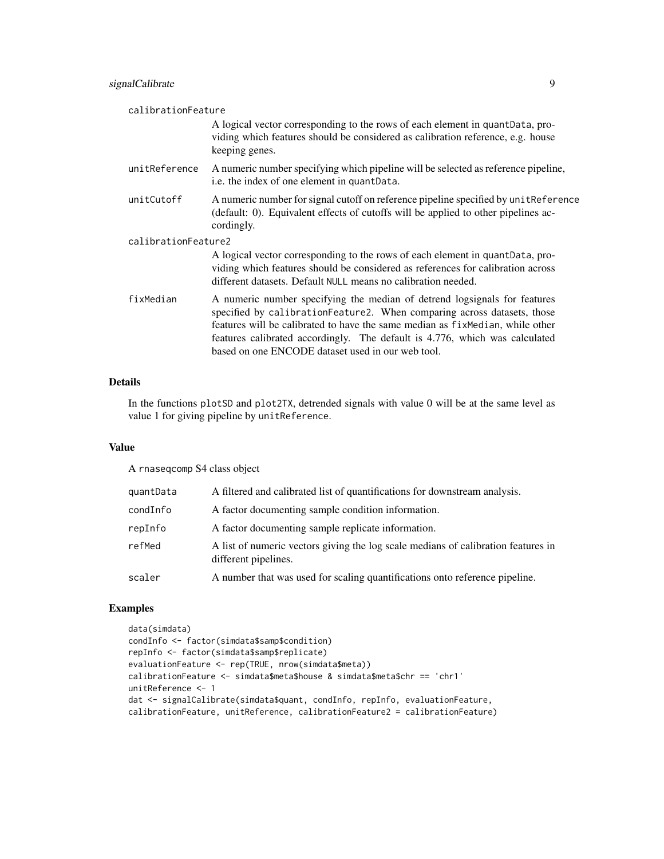| calibrationFeature  |                                                                                                                                                                                                                                                                                                                                                                            |  |
|---------------------|----------------------------------------------------------------------------------------------------------------------------------------------------------------------------------------------------------------------------------------------------------------------------------------------------------------------------------------------------------------------------|--|
|                     | A logical vector corresponding to the rows of each element in quant Data, pro-<br>viding which features should be considered as calibration reference, e.g. house<br>keeping genes.                                                                                                                                                                                        |  |
| unitReference       | A numeric number specifying which pipeline will be selected as reference pipeline,<br>i.e. the index of one element in quantData.                                                                                                                                                                                                                                          |  |
| unitCutoff          | A numeric number for signal cutoff on reference pipeline specified by unit Reference<br>(default: 0). Equivalent effects of cutoffs will be applied to other pipelines ac-<br>cordingly.                                                                                                                                                                                   |  |
| calibrationFeature2 |                                                                                                                                                                                                                                                                                                                                                                            |  |
|                     | A logical vector corresponding to the rows of each element in quant Data, pro-<br>viding which features should be considered as references for calibration across<br>different datasets. Default NULL means no calibration needed.                                                                                                                                         |  |
| fixMedian           | A numeric number specifying the median of detrend logsignals for features<br>specified by calibrationFeature2. When comparing across datasets, those<br>features will be calibrated to have the same median as fixeled an, while other<br>features calibrated accordingly. The default is 4.776, which was calculated<br>based on one ENCODE dataset used in our web tool. |  |

#### Details

In the functions plotSD and plot2TX, detrended signals with value 0 will be at the same level as value 1 for giving pipeline by unitReference.

#### Value

A rnaseqcomp S4 class object

| quantData | A filtered and calibrated list of quantifications for downstream analysis.                                |
|-----------|-----------------------------------------------------------------------------------------------------------|
| condInfo  | A factor documenting sample condition information.                                                        |
| repInfo   | A factor documenting sample replicate information.                                                        |
| refMed    | A list of numeric vectors giving the log scale medians of calibration features in<br>different pipelines. |
| scaler    | A number that was used for scaling quantifications onto reference pipeline.                               |

### Examples

```
data(simdata)
condInfo <- factor(simdata$samp$condition)
repInfo <- factor(simdata$samp$replicate)
evaluationFeature <- rep(TRUE, nrow(simdata$meta))
calibrationFeature <- simdata$meta$house & simdata$meta$chr == 'chr1'
unitReference <- 1
dat <- signalCalibrate(simdata$quant, condInfo, repInfo, evaluationFeature,
calibrationFeature, unitReference, calibrationFeature2 = calibrationFeature)
```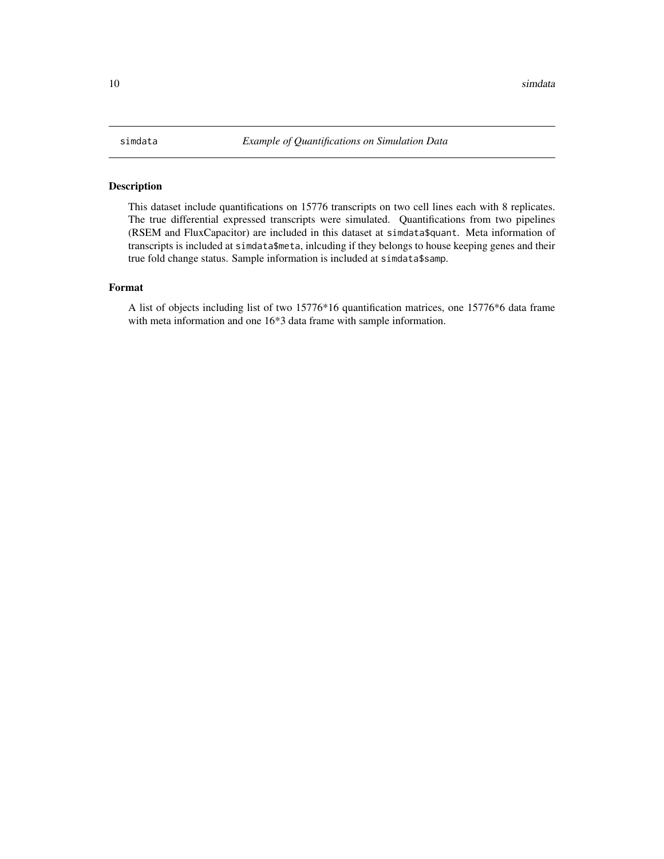#### <span id="page-9-0"></span>Description

This dataset include quantifications on 15776 transcripts on two cell lines each with 8 replicates. The true differential expressed transcripts were simulated. Quantifications from two pipelines (RSEM and FluxCapacitor) are included in this dataset at simdata\$quant. Meta information of transcripts is included at simdata\$meta, inlcuding if they belongs to house keeping genes and their true fold change status. Sample information is included at simdata\$samp.

#### Format

A list of objects including list of two 15776\*16 quantification matrices, one 15776\*6 data frame with meta information and one 16\*3 data frame with sample information.